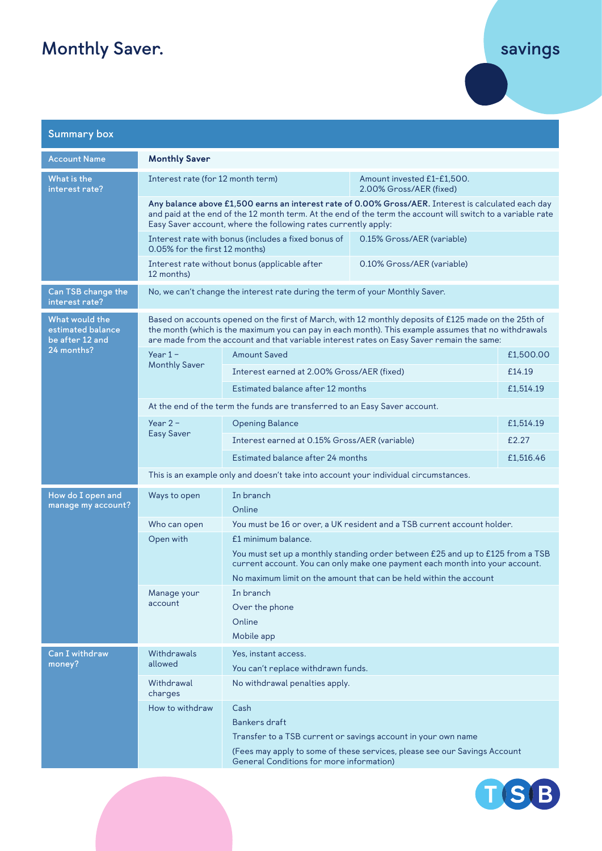## **Monthly Saver.**

## **savings**

| <b>Summary box</b>                                                   |                                                                                                                                                                                                                                                                                                           |                                                                                                                                                                                                                                                             |                                                       |           |  |
|----------------------------------------------------------------------|-----------------------------------------------------------------------------------------------------------------------------------------------------------------------------------------------------------------------------------------------------------------------------------------------------------|-------------------------------------------------------------------------------------------------------------------------------------------------------------------------------------------------------------------------------------------------------------|-------------------------------------------------------|-----------|--|
| <b>Account Name</b>                                                  | <b>Monthly Saver</b>                                                                                                                                                                                                                                                                                      |                                                                                                                                                                                                                                                             |                                                       |           |  |
| What is the<br>interest rate?                                        | Interest rate (for 12 month term)                                                                                                                                                                                                                                                                         |                                                                                                                                                                                                                                                             | Amount invested £1-£1,500.<br>2.00% Gross/AER (fixed) |           |  |
|                                                                      | Any balance above £1,500 earns an interest rate of 0.00% Gross/AER. Interest is calculated each day<br>and paid at the end of the 12 month term. At the end of the term the account will switch to a variable rate<br>Easy Saver account, where the following rates currently apply:                      |                                                                                                                                                                                                                                                             |                                                       |           |  |
|                                                                      | Interest rate with bonus (includes a fixed bonus of<br>0.05% for the first 12 months)                                                                                                                                                                                                                     |                                                                                                                                                                                                                                                             | 0.15% Gross/AER (variable)                            |           |  |
|                                                                      | Interest rate without bonus (applicable after<br>0.10% Gross/AER (variable)<br>12 months)                                                                                                                                                                                                                 |                                                                                                                                                                                                                                                             |                                                       |           |  |
| Can TSB change the<br>interest rate?                                 | No, we can't change the interest rate during the term of your Monthly Saver.                                                                                                                                                                                                                              |                                                                                                                                                                                                                                                             |                                                       |           |  |
| What would the<br>estimated balance<br>be after 12 and<br>24 months? | Based on accounts opened on the first of March, with 12 monthly deposits of £125 made on the 25th of<br>the month (which is the maximum you can pay in each month). This example assumes that no withdrawals<br>are made from the account and that variable interest rates on Easy Saver remain the same: |                                                                                                                                                                                                                                                             |                                                       |           |  |
|                                                                      | $Year 1 -$<br><b>Monthly Saver</b>                                                                                                                                                                                                                                                                        | <b>Amount Saved</b>                                                                                                                                                                                                                                         |                                                       | £1,500.00 |  |
|                                                                      |                                                                                                                                                                                                                                                                                                           | Interest earned at 2.00% Gross/AER (fixed)                                                                                                                                                                                                                  |                                                       | £14.19    |  |
|                                                                      |                                                                                                                                                                                                                                                                                                           | Estimated balance after 12 months                                                                                                                                                                                                                           |                                                       | £1,514.19 |  |
|                                                                      | At the end of the term the funds are transferred to an Easy Saver account.                                                                                                                                                                                                                                |                                                                                                                                                                                                                                                             |                                                       |           |  |
|                                                                      | Year $2 -$<br><b>Easy Saver</b>                                                                                                                                                                                                                                                                           | <b>Opening Balance</b>                                                                                                                                                                                                                                      |                                                       | £1,514.19 |  |
|                                                                      |                                                                                                                                                                                                                                                                                                           | Interest earned at 0.15% Gross/AER (variable)<br>£2.27                                                                                                                                                                                                      |                                                       |           |  |
|                                                                      |                                                                                                                                                                                                                                                                                                           | Estimated balance after 24 months                                                                                                                                                                                                                           |                                                       | £1,516.46 |  |
|                                                                      | This is an example only and doesn't take into account your individual circumstances.                                                                                                                                                                                                                      |                                                                                                                                                                                                                                                             |                                                       |           |  |
| How do I open and<br>manage my account?                              | Ways to open                                                                                                                                                                                                                                                                                              | In branch<br>Online                                                                                                                                                                                                                                         |                                                       |           |  |
|                                                                      | Who can open                                                                                                                                                                                                                                                                                              | You must be 16 or over, a UK resident and a TSB current account holder.                                                                                                                                                                                     |                                                       |           |  |
|                                                                      | Open with                                                                                                                                                                                                                                                                                                 | £1 minimum balance.<br>You must set up a monthly standing order between £25 and up to £125 from a TSB<br>current account. You can only make one payment each month into your account.<br>No maximum limit on the amount that can be held within the account |                                                       |           |  |
|                                                                      | Manage your<br>account                                                                                                                                                                                                                                                                                    | In branch                                                                                                                                                                                                                                                   |                                                       |           |  |
|                                                                      |                                                                                                                                                                                                                                                                                                           | Over the phone                                                                                                                                                                                                                                              |                                                       |           |  |
|                                                                      |                                                                                                                                                                                                                                                                                                           | Online                                                                                                                                                                                                                                                      |                                                       |           |  |
|                                                                      |                                                                                                                                                                                                                                                                                                           | Mobile app                                                                                                                                                                                                                                                  |                                                       |           |  |
| Can I withdraw<br>money?                                             | Withdrawals<br>allowed                                                                                                                                                                                                                                                                                    | Yes, instant access.                                                                                                                                                                                                                                        |                                                       |           |  |
|                                                                      | Withdrawal                                                                                                                                                                                                                                                                                                | You can't replace withdrawn funds.<br>No withdrawal penalties apply.                                                                                                                                                                                        |                                                       |           |  |
|                                                                      | charges                                                                                                                                                                                                                                                                                                   |                                                                                                                                                                                                                                                             |                                                       |           |  |
|                                                                      | How to withdraw                                                                                                                                                                                                                                                                                           | Cash                                                                                                                                                                                                                                                        |                                                       |           |  |
|                                                                      |                                                                                                                                                                                                                                                                                                           | <b>Bankers draft</b>                                                                                                                                                                                                                                        |                                                       |           |  |
|                                                                      |                                                                                                                                                                                                                                                                                                           | Transfer to a TSB current or savings account in your own name<br>(Fees may apply to some of these services, please see our Savings Account                                                                                                                  |                                                       |           |  |
|                                                                      |                                                                                                                                                                                                                                                                                                           | General Conditions for more information)                                                                                                                                                                                                                    |                                                       |           |  |